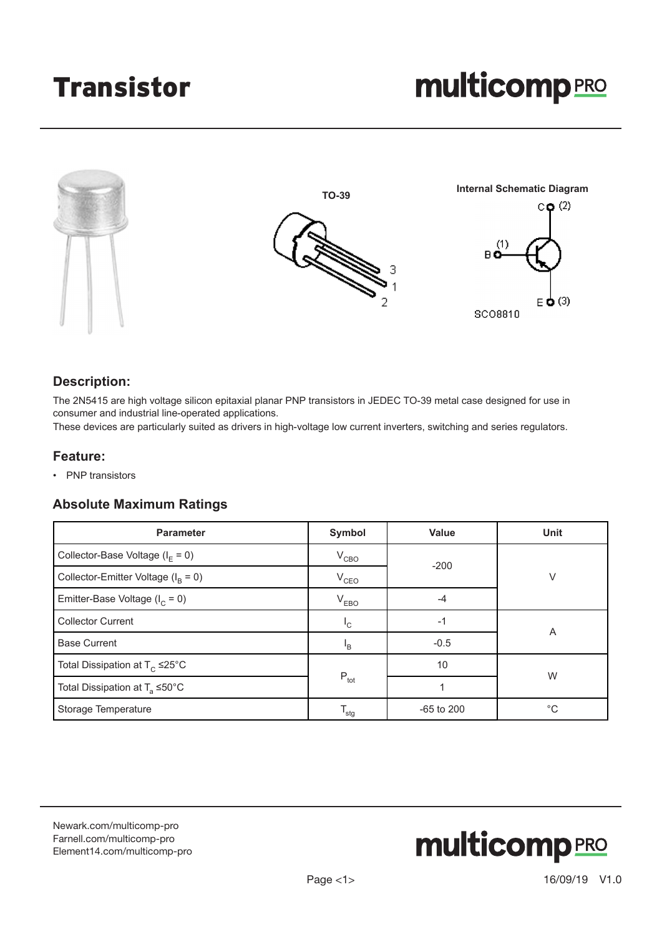# Transistor



## **Description:**

The 2N5415 are high voltage silicon epitaxial planar PNP transistors in JEDEC TO-39 metal case designed for use in consumer and industrial line-operated applications.

These devices are particularly suited as drivers in high-voltage low current inverters, switching and series regulators.

#### **Feature:**

• PNP transistors

#### **Absolute Maximum Ratings**

| <b>Parameter</b>                             | Symbol                    | <b>Value</b> | <b>Unit</b> |  |
|----------------------------------------------|---------------------------|--------------|-------------|--|
| Collector-Base Voltage ( $I_F = 0$ )         | $V_{CBO}$                 | $-200$       |             |  |
| Collector-Emitter Voltage $(I_B = 0)$        | $V_{CEO}$                 |              | V           |  |
| Emitter-Base Voltage ( $I_c = 0$ )           | $V_{EBO}$                 | $-4$         |             |  |
| <b>Collector Current</b>                     | $L_{\rm C}$               | $-1$         |             |  |
| <b>Base Current</b>                          | $\mathsf{I}_{\mathsf{B}}$ | $-0.5$       | A           |  |
| Total Dissipation at $T_c \leq 25^{\circ}$ C |                           | 10           |             |  |
| Total Dissipation at $T_a \leq 50^{\circ}$ C | $P_{\text{tot}}$          |              | W           |  |
| Storage Temperature                          | <sup>l</sup> stq          | $-65$ to 200 | $^{\circ}C$ |  |

[Newark.com/multicomp-](https://www.newark.com/multicomp-pro)pro [Farnell.com/multicomp](https://www.farnell.com/multicomp-pro)-pro [Element14.com/multicomp-pro](https://element14.com/multicomp-pro)

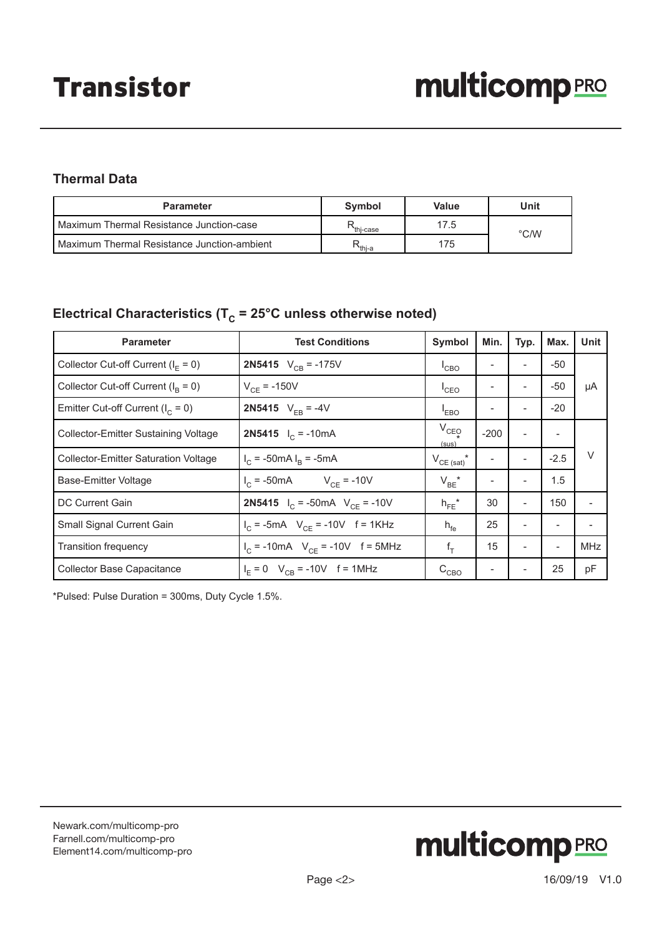# **Thermal Data**

| <b>Parameter</b>                            | Symbol                        | Value | Unit          |  |  |
|---------------------------------------------|-------------------------------|-------|---------------|--|--|
| Maximum Thermal Resistance Junction-case    | thi-case <sup>*</sup>         | 17.5  | $\degree$ C/W |  |  |
| Maximum Thermal Resistance Junction-ambient | $\mathsf{R}_{\mathsf{thi-a}}$ | 175   |               |  |  |

# Electrical Characteristics ( $T_c = 25^{\circ}$ C unless otherwise noted)

| <b>Parameter</b>                       | <b>Test Conditions</b>                              | Symbol                | Min.   | Typ.                         | Max.                     | Unit       |
|----------------------------------------|-----------------------------------------------------|-----------------------|--------|------------------------------|--------------------------|------------|
| Collector Cut-off Current ( $IF = 0$ ) | <b>2N5415</b> $V_{CB} = -175V$                      | $^{\mathsf{I}}$ CBO   |        |                              | $-50$                    |            |
| Collector Cut-off Current $(I_B = 0)$  | $V_{CF}$ = -150V                                    | $^{\mathsf{I}}$ CEO   |        |                              | -50                      | μA         |
| Emitter Cut-off Current ( $I_c = 0$ )  | <b>2N5415</b> $V_{FB} = -4V$                        | <sup>I</sup> EBO      |        |                              | $-20$                    |            |
| Collector-Emitter Sustaining Voltage   | <b>2N5415</b> $I_C = -10mA$                         | $V_{CEO}$<br>(sus)    | $-200$ | $\overline{a}$               |                          |            |
| Collector-Emitter Saturation Voltage   | $I_C$ = -50mA $I_B$ = -5mA                          | $V^{\text{CE (sat)}}$ |        |                              | $-2.5$                   | $\vee$     |
| Base-Emitter Voltage                   | $I_C$ = -50mA $V_{CF}$ = -10V                       | $V_{BE}^{\prime}$     |        |                              | 1.5                      |            |
| DC Current Gain                        | <b>2N5415</b> $I_C = -50 \text{mA}$ $V_{CF} = -10V$ | $h_{FE}$ *            | 30     | $\overline{\phantom{0}}$     | 150                      |            |
| Small Signal Current Gain              | $I_C$ = -5mA $V_{CF}$ = -10V f = 1KHz               | $h_{\text{fe}}$       | 25     | ٠                            | $\overline{\phantom{m}}$ |            |
| <b>Transition frequency</b>            | $I_C$ = -10mA $V_{CF}$ = -10V f = 5MHz              | $f_T$                 | 15     | $\qquad \qquad \blacksquare$ | $\overline{\phantom{a}}$ | <b>MHz</b> |
| <b>Collector Base Capacitance</b>      | $I_F = 0$ V <sub>CB</sub> = -10V f = 1MHz           | $\rm C_{CBO}$         |        |                              | 25                       | pF         |

\*Pulsed: Pulse Duration = 300ms, Duty Cycle 1.5%.